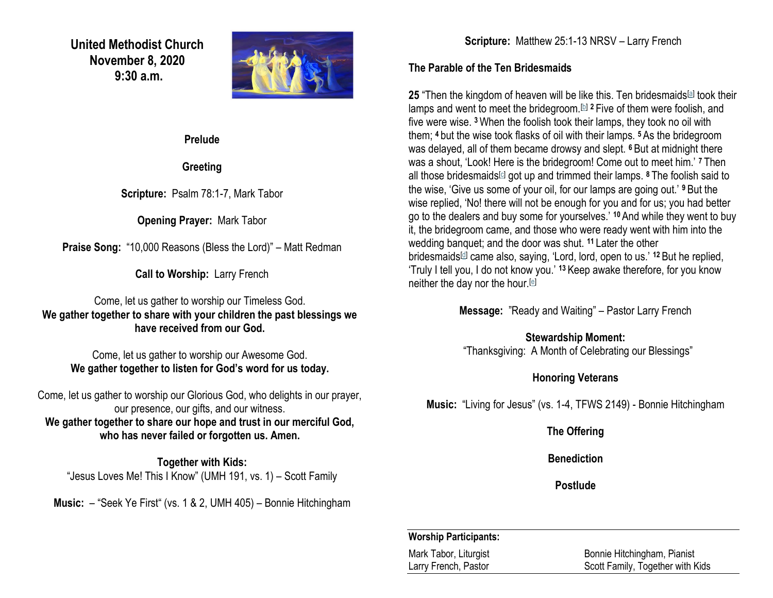**United Methodist Church November 8, 2020 9:30 a.m.**



**Prelude** 

**Greeting**

**Scripture:** Psalm 78:1-7, Mark Tabor

**Opening Prayer:** Mark Tabor

**Praise Song:** "10,000 Reasons (Bless the Lord)" – Matt Redman

**Call to Worship:** Larry French

Come, let us gather to worship our Timeless God. **We gather together to share with your children the past blessings we have received from our God.**

Come, let us gather to worship our Awesome God. **We gather together to listen for God's word for us today.**

Come, let us gather to worship our Glorious God, who delights in our prayer, our presence, our gifts, and our witness. **We gather together to share our hope and trust in our merciful God, who has never failed or forgotten us. Amen.**

**Together with Kids:** "Jesus Loves Me! This I Know" (UMH 191, vs. 1) – Scott Family

**Music:** – "Seek Ye First" (vs. 1 & 2, UMH 405) – Bonnie Hitchingham

**Scripture:** Matthew 25:1-13 NRSV – Larry French

## **The Parable of the Ten Bridesmaids**

**25** "Then the kingdom of heaven will be like this. Ten bridesmaids<sup>[\[a\]](https://www.biblegateway.com/passage/?search=Matthew+25%3A+1-13&version=NRSV#fen-NRSV-24007a)</sup> took their lamps and went to meet the bridegroom.[\[b\]](https://www.biblegateway.com/passage/?search=Matthew+25%3A+1-13&version=NRSV#fen-NRSV-24007b) **<sup>2</sup>** Five of them were foolish, and five were wise. **<sup>3</sup>**When the foolish took their lamps, they took no oil with them; **<sup>4</sup>** but the wise took flasks of oil with their lamps. **<sup>5</sup>** As the bridegroom was delayed, all of them became drowsy and slept. **<sup>6</sup>** But at midnight there was a shout, 'Look! Here is the bridegroom! Come out to meet him.' **<sup>7</sup>** Then all those bridesmaids<sup>[\[c\]](https://www.biblegateway.com/passage/?search=Matthew+25%3A+1-13&version=NRSV#fen-NRSV-24013c)</sup> got up and trimmed their lamps. <sup>8</sup> The foolish said to the wise, 'Give us some of your oil, for our lamps are going out.' **<sup>9</sup>** But the wise replied, 'No! there will not be enough for you and for us; you had better go to the dealers and buy some for yourselves.' **<sup>10</sup>** And while they went to buy it, the bridegroom came, and those who were ready went with him into the wedding banquet; and the door was shut. **<sup>11</sup>** Later the other bridesmaids[\[d\]](https://www.biblegateway.com/passage/?search=Matthew+25%3A+1-13&version=NRSV#fen-NRSV-24017d) came also, saying, 'Lord, lord, open to us.' **<sup>12</sup>** But he replied, 'Truly I tell you, I do not know you.' **<sup>13</sup>** Keep awake therefore, for you know neither the day nor the hour.[\[e\]](https://www.biblegateway.com/passage/?search=Matthew+25%3A+1-13&version=NRSV#fen-NRSV-24019e)

**Message:** "Ready and Waiting" – Pastor Larry French

## **Stewardship Moment:**

"Thanksgiving: A Month of Celebrating our Blessings"

## **Honoring Veterans**

**Music:** "Living for Jesus" (vs. 1-4, TFWS 2149) - Bonnie Hitchingham

**The Offering**

**Benediction**

**Postlude**

## **Worship Participants:**

Mark Tabor, Liturgist Bonnie Hitchingham, Pianist Larry French, Pastor **Scott Family, Together with Kids**